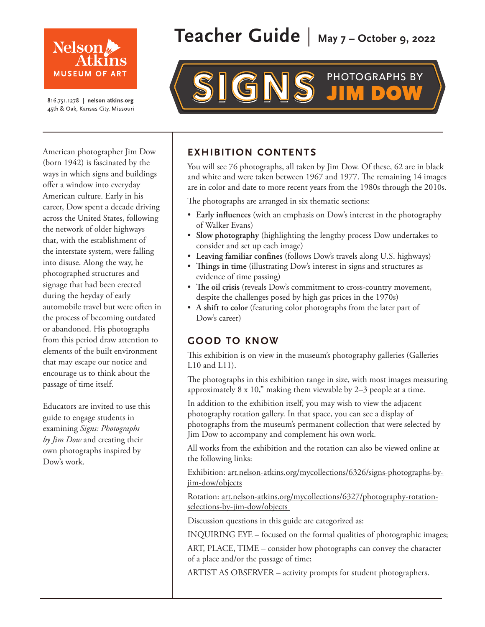

816.751.1278 | nelson-atkins.org 45th & Oak, Kansas City, Missouri

American photographer Jim Dow (born 1942) is fascinated by the ways in which signs and buildings offer a window into everyday American culture. Early in his career, Dow spent a decade driving across the United States, following the network of older highways that, with the establishment of the interstate system, were falling into disuse. Along the way, he photographed structures and signage that had been erected during the heyday of early automobile travel but were often in the process of becoming outdated or abandoned. His photographs from this period draw attention to elements of the built environment that may escape our notice and encourage us to think about the passage of time itself.

Educators are invited to use this guide to engage students in examining *Signs: Photographs by Jim Dow* and creating their own photographs inspired by Dow's work.

# **Teacher Guide** | **May 7 – October 9, 2022**

# **PHOTOGRAPHS BY**

# **EXHIBITION CONTENTS**

You will see 76 photographs, all taken by Jim Dow. Of these, 62 are in black and white and were taken between 1967 and 1977. The remaining 14 images are in color and date to more recent years from the 1980s through the 2010s.

The photographs are arranged in six thematic sections:

- **Early influences** (with an emphasis on Dow's interest in the photography of Walker Evans)
- **Slow photography** (highlighting the lengthy process Dow undertakes to consider and set up each image)
- **Leaving familiar confines** (follows Dow's travels along U.S. highways)
- **Things in time** (illustrating Dow's interest in signs and structures as evidence of time passing)
- **The oil crisis** (reveals Dow's commitment to cross-country movement, despite the challenges posed by high gas prices in the 1970s)
- **A shift to color** (featuring color photographs from the later part of Dow's career)

# **GOOD TO KNOW**

This exhibition is on view in the museum's photography galleries (Galleries L10 and L11).

The photographs in this exhibition range in size, with most images measuring approximately 8 x 10," making them viewable by 2–3 people at a time.

In addition to the exhibition itself, you may wish to view the adjacent photography rotation gallery. In that space, you can see a display of photographs from the museum's permanent collection that were selected by Jim Dow to accompany and complement his own work.

All works from the exhibition and the rotation can also be viewed online at the following links:

[Exhibition: art.nelson-atkins.org/mycollections/6326/signs-photographs-by](https://art.nelson-atkins.org/mycollections/6326/signs-photographs-by-jim-dow/objects)jim-dow/objects

[Rotation: art.nelson-atkins.org/mycollections/6327/photography-rotation](https://art.nelson-atkins.org/mycollections/6327/photography-rotation-selections-by-jim-dow/objects)selections-by-jim-dow/objects

Discussion questions in this guide are categorized as:

INQUIRING EYE – focused on the formal qualities of photographic images;

ART, PLACE, TIME – consider how photographs can convey the character of a place and/or the passage of time;

ARTIST AS OBSERVER – activity prompts for student photographers.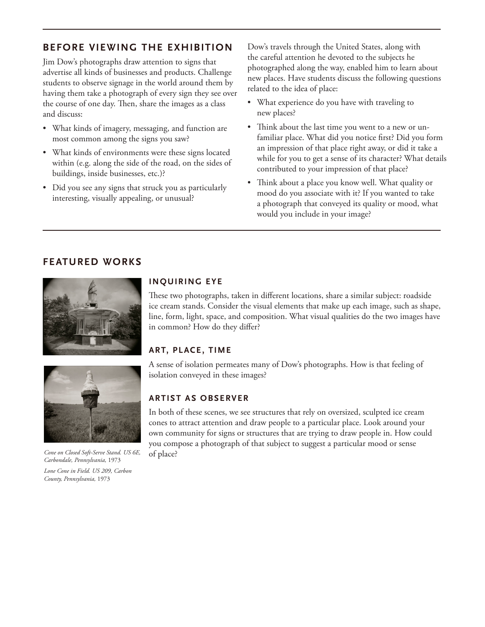# **BEFORE VIEWING THE EXHIBITION**

Jim Dow's photographs draw attention to signs that advertise all kinds of businesses and products. Challenge students to observe signage in the world around them by having them take a photograph of every sign they see over the course of one day. Then, share the images as a class and discuss:

- What kinds of imagery, messaging, and function are most common among the signs you saw?
- What kinds of environments were these signs located within (e.g. along the side of the road, on the sides of buildings, inside businesses, etc.)?
- Did you see any signs that struck you as particularly interesting, visually appealing, or unusual?

Dow's travels through the United States, along with the careful attention he devoted to the subjects he photographed along the way, enabled him to learn about new places. Have students discuss the following questions related to the idea of place:

- What experience do you have with traveling to new places?
- Think about the last time you went to a new or unfamiliar place. What did you notice first? Did you form an impression of that place right away, or did it take a while for you to get a sense of its character? What details contributed to your impression of that place?
- Think about a place you know well. What quality or mood do you associate with it? If you wanted to take a photograph that conveyed its quality or mood, what would you include in your image?

## **FEATURED WORKS**





*Cone on Closed Soft-Serve Stand. US 6E, Carbondale, Pennsylvania,* 1973

*Lone Cone in Field. US 209, Carbon County, Pennsylvania,* 1973

#### **INQUIRING EYE**

These two photographs, taken in different locations, share a similar subject: roadside ice cream stands. Consider the visual elements that make up each image, such as shape, line, form, light, space, and composition. What visual qualities do the two images have in common? How do they differ?

### **ART, PL ACE , TIME**

A sense of isolation permeates many of Dow's photographs. How is that feeling of isolation conveyed in these images?

#### **ARTIST AS OBSERVER**

In both of these scenes, we see structures that rely on oversized, sculpted ice cream cones to attract attention and draw people to a particular place. Look around your own community for signs or structures that are trying to draw people in. How could you compose a photograph of that subject to suggest a particular mood or sense of place?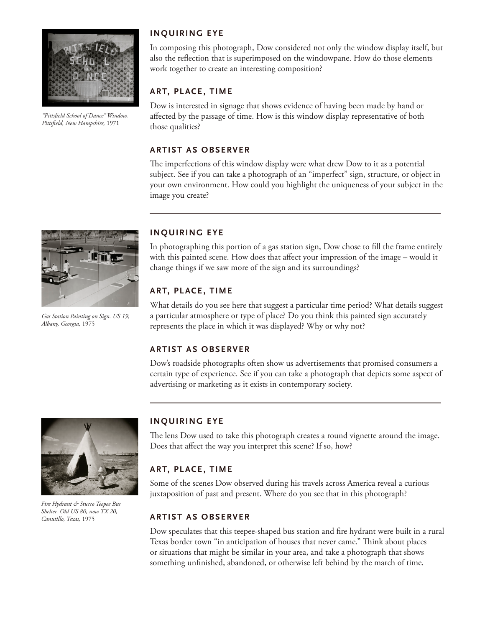

*"Pittsfield School of Dance" Window. Pittsfield, New Hampshire,* 1971

#### **INQUIRING EYE**

In composing this photograph, Dow considered not only the window display itself, but also the reflection that is superimposed on the windowpane. How do those elements work together to create an interesting composition?

#### **ART, PL ACE , TIME**

Dow is interested in signage that shows evidence of having been made by hand or affected by the passage of time. How is this window display representative of both those qualities?

#### **ARTIST AS OBSERVER**

The imperfections of this window display were what drew Dow to it as a potential subject. See if you can take a photograph of an "imperfect" sign, structure, or object in your own environment. How could you highlight the uniqueness of your subject in the image you create?



*Gas Station Painting on Sign. US 19, Albany, Georgia,* 1975

#### **INQUIRING EYE**

In photographing this portion of a gas station sign, Dow chose to fill the frame entirely with this painted scene. How does that affect your impression of the image – would it change things if we saw more of the sign and its surroundings?

#### **ART, PLACE, TIME**

What details do you see here that suggest a particular time period? What details suggest a particular atmosphere or type of place? Do you think this painted sign accurately represents the place in which it was displayed? Why or why not?

#### **ARTIST AS OBSERVER**

Dow's roadside photographs often show us advertisements that promised consumers a certain type of experience. See if you can take a photograph that depicts some aspect of advertising or marketing as it exists in contemporary society.



*Fire Hydrant & Stucco Teepee Bus Shelter. Old US 80, now TX 20, Canutillo, Texas,* 1975

#### **INQUIRING EYE**

The lens Dow used to take this photograph creates a round vignette around the image. Does that affect the way you interpret this scene? If so, how?

#### **ART, PLACE, TIME**

Some of the scenes Dow observed during his travels across America reveal a curious juxtaposition of past and present. Where do you see that in this photograph?

#### **ARTIST AS OBSERVER**

Dow speculates that this teepee-shaped bus station and fire hydrant were built in a rural Texas border town "in anticipation of houses that never came." Think about places or situations that might be similar in your area, and take a photograph that shows something unfinished, abandoned, or otherwise left behind by the march of time.